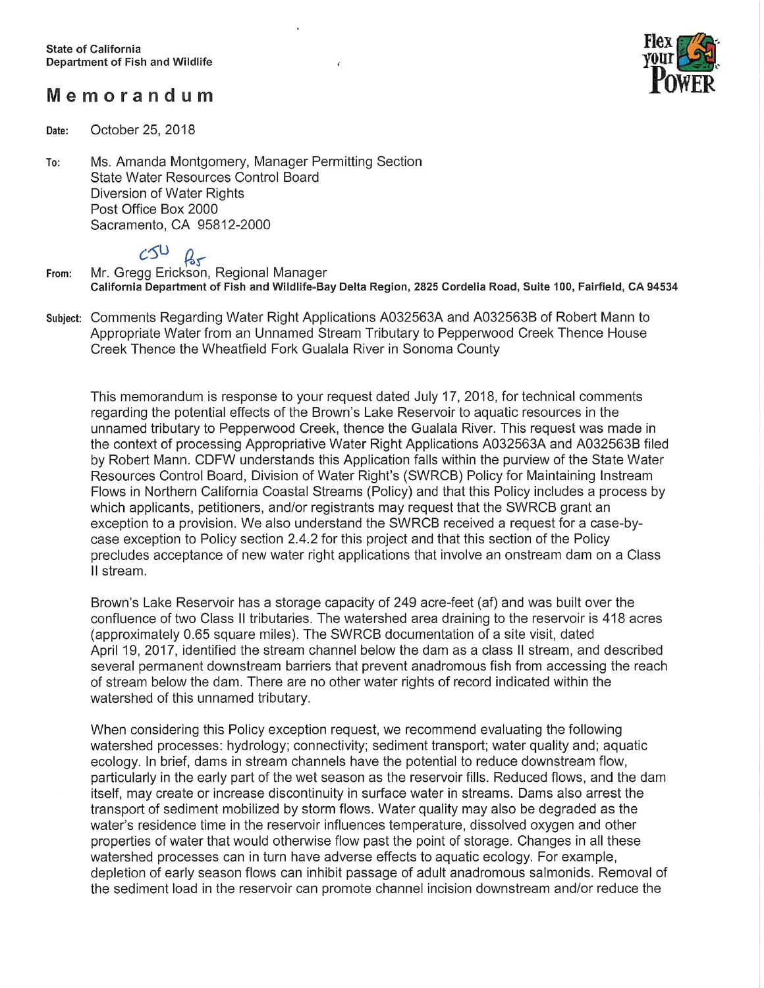## Memorandum



Date: October 25, 2018

Ms. Amanda Montgomery, Manager Permitting Section To: State Water Resources Control Board Diversion of Water Rights Post Office Box 2000 Sacramento, CA 95812-2000

From: c<sup>ou</sup> *Q<sub>s</sub>\_*<br>Mr. Gregg Erickson, Regional Manag California Department of Fish and Wildlife-Bay Delta Region, 2825 Cordelia Road, Suite 100, Fairfield, CA 94534

Subject: Comments Regarding Water Right Applications AO32563A and AO32563B of Robert Mann to Appropriate Water from an unnamed Stream Tributary to Pepperwood Creek Thence House Creek Thence the Wheatfield Fork Gualala River in Sonoma County

This memorandum is response to your request dated July 17, 2018, for technical comments regarding the potential effects of the Brown's Lake Reservoir to aquatic resources in the unnamed tributary to Pepperwood Creek, thence the Gualala River. This request was made in the context of processing Appropriative Water Right Applications AO32563A and AO32563B filed by Robert Mann. CDFW understands this Application falls within the purview of the State Water Resources Control Board, Division of Water Right's (SWRCB) Policy for Maintaining Instream Flows in Northern California Coastal Streams (Policy) and that this Policy includes a process by which applicants, petitioners, and/or registrants may request that the SWRCB grant an exception to a provision. We also understand the SWRCB received a request for a case-bycase exception to Policy section 2.4.2 for this project and that this section of the Policy precludes acceptance of new water right applications that involve an onstream dam on a Class II stream.

Brown's Lake Reservoir has a storage capacity of 249 acre-feet (af) and was built over the confluence of two Class II tributaries. The watershed area draining to the reservoir is 418 acres (approximately O.65 square miles). The SWRCB documentation of a site visit, dated April 49, 2017, identified the stream channel below the dam as a class II stream, and described several permanent downstream barriers that prevent anadromous fish from accessing the reach of stream below the dam. There are no other water rights of record indicated within the watershed of this unnamed tributary.

When considering this Policy exception request, we recommend evaluating the following watershed processes: hydrology; connectivity; sediment transport; water quality and; aquatic ecology. In brief, dams in stream channels have the potential to reduce downstream flow, particularly in the early part of the wet season as the reservoir fills. Reduced flows, and the dam itself, may create or increase discontinuity in surface water in streams. Dams also arrest the transport of sediment mobilized by storm flows. Water quality may also be degraded as the water's residence time in the reservoir influences temperature, dissolved oxygen and other properties of water that would otherwise flow past the point of storage. Changes in all these watershed processes can in turn have adverse effects to aquatic ecology. For example, depletion of early season flows can inhibit passage of adult anadromous salmonids. Removal of the sediment load in the reservoir can promote channel incision downstream and/or reduce the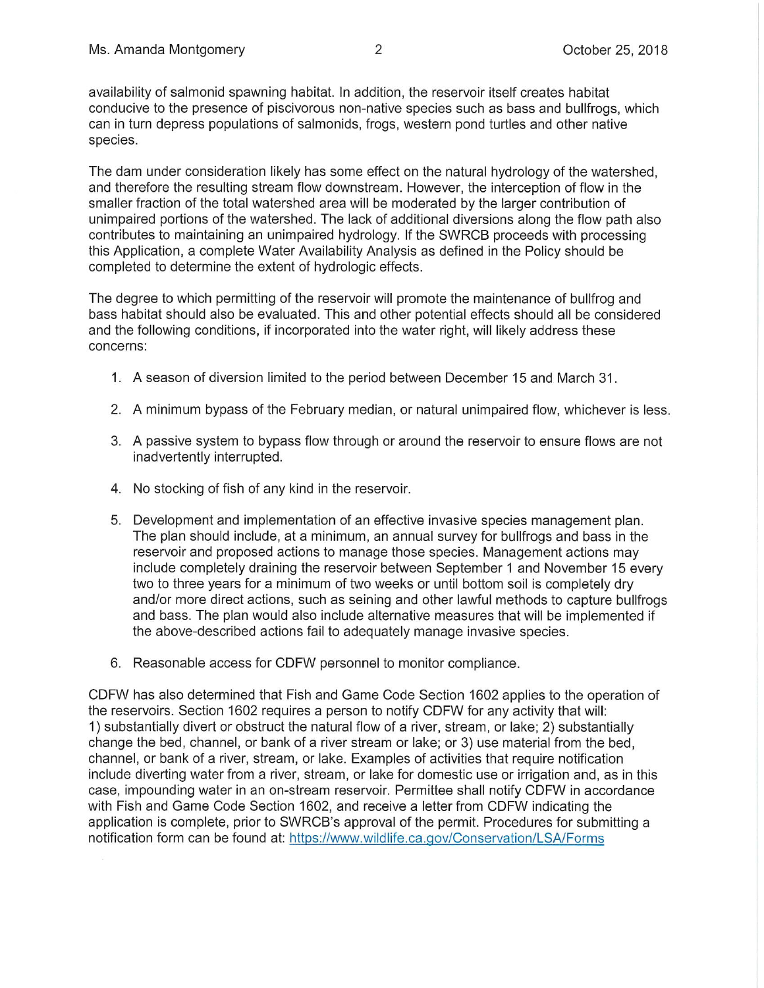availability of salmonid spawning habitat. In addition, the reservoir itself creates habitat conducive to the presence of piscivorous non-native species such as bass and bullfrogs, which can in turn depress populations of salmonids, frogs, western pond turtles and other native species.

The dam under consideration likely has some effect on the natural hydrology of the watershed, and therefore the resulting stream flow downstream. However, the interception of flow in the smaller fraction of the total watershed area will be moderated by the larger contribution of unimpaired portions of the watershed. The lack of additional diversions along the flow path also contributes to maintaining an unimpaired hydrology. If the SWRCB proceeds with processing this Application, a complete Water Availability Analysis as defined in the Policy should be completed to determine the extent of hydrologic effects.

The degree to which permitting of the reservoir will promote the maintenance of bullfrog and bass habitat should also be evaluated. This and other potential effects should all be considered and the following conditions, if incorporated into the water right, will likely address these concerns:

- 1. A season of diversion limited to the period between December 15 and March 31.
- 2. A minimum bypass of the February median, or natural unimpaired flow, whichever is less.
- 3. A passive system to bypass flow through or around the reservoir to ensure flows are not inadvertently interrupted.
- 4. No stocking of fish of any kind in the reservoir.
- 5. Development and implementation of an effective invasive species management plan. The plan should include, at a minimum, an annual survey for bullfrogs and bass in the reservoir and proposed actions to manage those species. Management actions may include completely draining the reservoir between September 1 and November 15 every two to three years for a minimum of two weeks or until bottom soil is completely dry and/or more direct actions, such as seining and other lawful methods to capture bullfrogs and bass. The plan would also include alternative measures that will be implemented if the above-described actions fail to adequately manage invasive species.
- 6. Reasonable access for CDFW personnel to monitor compliance.

CDFW has also determined that Fish and Game Code Section 1602 applies to the operation of the reservoirs. Section 1602 requires a person to notify CDFW for any activity that will: 1 ) substantially divert or obstruct the natural flow of a river, stream, or lake; 2) substantially change the bed, channel, or bank of a river stream or lake; or 3) use material from the bed, channel, or bank of a river, stream, or lake. Examples of activities that require notification include diverting water from a river, stream, or lake for domestic use or irrigation and, as in this case, impounding water in an on-stream reservoir. Permittee shall notify CDFW in accordance with Fish and Game Code Section 1602, and receive a letter from CDFW indicating the application is complete, prior to SWRCB's approval of the permit. Procedures for submitting a notification form can be found at: https://www.wildlife.ca.qov/Conservation/LSA/Forms